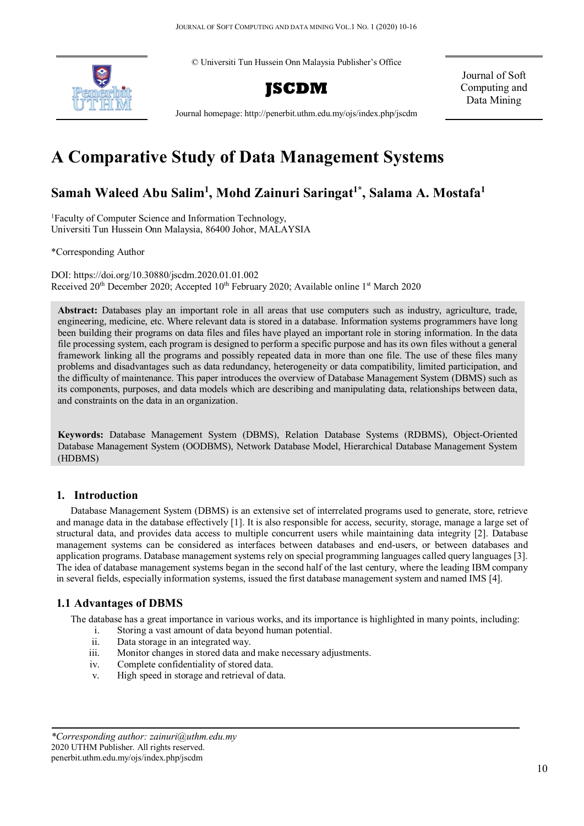© Universiti Tun Hussein Onn Malaysia Publisher's Office



Journal of Soft Computing and Data Mining

Journal homepage: http://penerbit.uthm.edu.my/ojs/index.php/jscdm

# **A Comparative Study of Data Management Systems**

# **Samah Waleed Abu Salim1 , Mohd Zainuri Saringat1\* , Salama A. Mostafa1**

1 Faculty of Computer Science and Information Technology, Universiti Tun Hussein Onn Malaysia, 86400 Johor, MALAYSIA

\*Corresponding Author

DOI: https://doi.org/10.30880/jscdm.2020.01.01.002 Received 20<sup>th</sup> December 2020; Accepted 10<sup>th</sup> February 2020; Available online 1<sup>st</sup> March 2020

**Abstract:** Databases play an important role in all areas that use computers such as industry, agriculture, trade, engineering, medicine, etc. Where relevant data is stored in a database. Information systems programmers have long been building their programs on data files and files have played an important role in storing information. In the data file processing system, each program is designed to perform a specific purpose and has its own files without a general framework linking all the programs and possibly repeated data in more than one file. The use of these files many problems and disadvantages such as data redundancy, heterogeneity or data compatibility, limited participation, and the difficulty of maintenance. This paper introduces the overview of Database Management System (DBMS) such as its components, purposes, and data models which are describing and manipulating data, relationships between data, and constraints on the data in an organization.

**Keywords:** Database Management System (DBMS), Relation Database Systems (RDBMS), Object-Oriented Database Management System (OODBMS), Network Database Model, Hierarchical Database Management System (HDBMS)

### **1. Introduction**

Database Management System (DBMS) is an extensive set of interrelated programs used to generate, store, retrieve and manage data in the database effectively [1]. It is also responsible for access, security, storage, manage a large set of structural data, and provides data access to multiple concurrent users while maintaining data integrity [2]. Database management systems can be considered as interfaces between databases and end-users, or between databases and application programs. Database management systems rely on special programming languages called query languages [3]. The idea of database management systems began in the second half of the last century, where the leading IBM company in several fields, especially information systems, issued the first database management system and named IMS [4].

## **1.1 Advantages of DBMS**

The database has a great importance in various works, and its importance is highlighted in many points, including:

- i. Storing a vast amount of data beyond human potential.
- ii. Data storage in an integrated way.
- iii. Monitor changes in stored data and make necessary adjustments.
- iv. Complete confidentiality of stored data.
- v. High speed in storage and retrieval of data.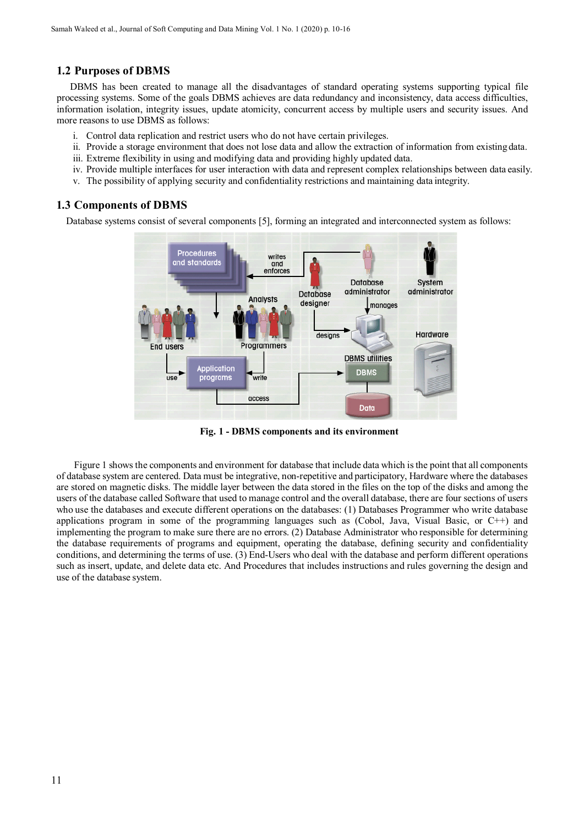#### **1.2 Purposes of DBMS**

DBMS has been created to manage all the disadvantages of standard operating systems supporting typical file processing systems. Some of the goals DBMS achieves are data redundancy and inconsistency, data access difficulties, information isolation, integrity issues, update atomicity, concurrent access by multiple users and security issues. And more reasons to use DBMS as follows:

- i. Control data replication and restrict users who do not have certain privileges.
- ii. Provide a storage environment that does not lose data and allow the extraction of information from existingdata.
- iii. Extreme flexibility in using and modifying data and providing highly updated data.
- iv. Provide multiple interfaces for user interaction with data and represent complex relationships between data easily.
- v. The possibility of applying security and confidentiality restrictions and maintaining data integrity.

#### **1.3 Components of DBMS**

Database systems consist of several components [5], forming an integrated and interconnected system as follows:



**Fig. 1 - DBMS components and its environment**

Figure 1 shows the components and environment for database that include data which is the point that all components of database system are centered. Data must be integrative, non-repetitive and participatory, Hardware where the databases are stored on magnetic disks. The middle layer between the data stored in the files on the top of the disks and among the users of the database called Software that used to manage control and the overall database, there are four sections of users who use the databases and execute different operations on the databases: (1) Databases Programmer who write database applications program in some of the programming languages such as (Cobol, Java, Visual Basic, or C++) and implementing the program to make sure there are no errors. (2) Database Administrator who responsible for determining the database requirements of programs and equipment, operating the database, defining security and confidentiality conditions, and determining the terms of use. (3) End-Users who deal with the database and perform different operations such as insert, update, and delete data etc. And Procedures that includes instructions and rules governing the design and use of the database system.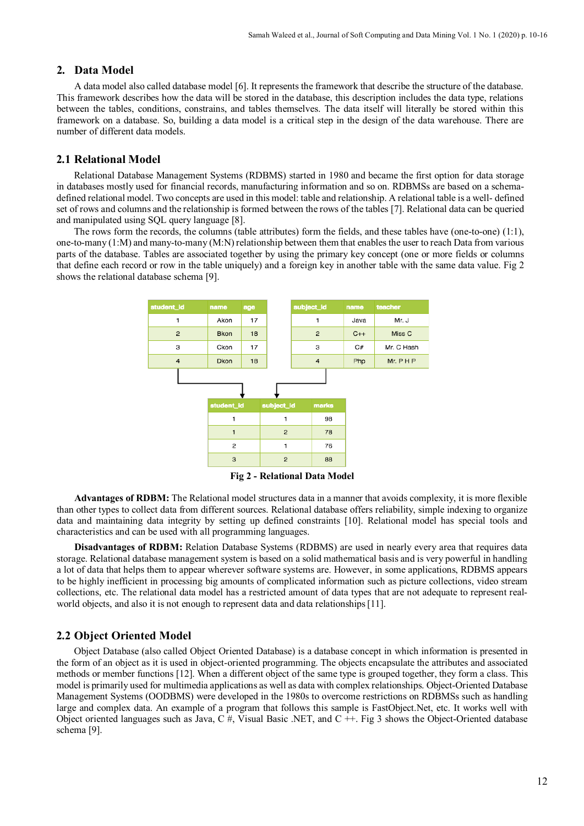#### **2. Data Model**

A data model also called database model [6]. It represents the framework that describe the structure of the database. This framework describes how the data will be stored in the database, this description includes the data type, relations between the tables, conditions, constrains, and tables themselves. The data itself will literally be stored within this framework on a database. So, building a data model is a critical step in the design of the data warehouse. There are number of different data models.

#### **2.1 Relational Model**

Relational Database Management Systems (RDBMS) started in 1980 and became the first option for data storage in databases mostly used for financial records, manufacturing information and so on. RDBMSs are based on a schemadefined relational model. Two concepts are used in this model: table and relationship. A relational table is a well- defined set of rows and columns and the relationship is formed between the rows of the tables [7]. Relational data can be queried and manipulated using SQL query language [8].

The rows form the records, the columns (table attributes) form the fields, and these tables have (one-to-one) (1:1), one-to-many (1:M) and many-to-many (M:N) relationship between them that enables the user to reach Data from various parts of the database. Tables are associated together by using the primary key concept (one or more fields or columns that define each record or row in the table uniquely) and a foreign key in another table with the same data value. Fig 2 shows the relational database schema [9].



**Fig 2 - Relational Data Model**

**Advantages of RDBM:** The Relational model structures data in a manner that avoids complexity, it is more flexible than other types to collect data from different sources. Relational database offers reliability, simple indexing to organize data and maintaining data integrity by setting up defined constraints [10]. Relational model has special tools and characteristics and can be used with all programming languages.

**Disadvantages of RDBM:** Relation Database Systems (RDBMS) are used in nearly every area that requires data storage. Relational database management system is based on a solid mathematical basis and is very powerful in handling a lot of data that helps them to appear wherever software systems are. However, in some applications, RDBMS appears to be highly inefficient in processing big amounts of complicated information such as picture collections, video stream collections, etc. The relational data model has a restricted amount of data types that are not adequate to represent realworld objects, and also it is not enough to represent data and data relationships[11].

#### **2.2 Object Oriented Model**

Object Database (also called Object Oriented Database) is a database concept in which information is presented in the form of an object as it is used in object-oriented programming. The objects encapsulate the attributes and associated methods or member functions [12]. When a different object of the same type is grouped together, they form a class. This model is primarily used for multimedia applications as well as data with complex relationships. Object-Oriented Database Management Systems (OODBMS) were developed in the 1980s to overcome restrictions on RDBMSs such as handling large and complex data. An example of a program that follows this sample is FastObject.Net, etc. It works well with Object oriented languages such as Java, C #, Visual Basic .NET, and C  $++$ . Fig 3 shows the Object-Oriented database schema [9].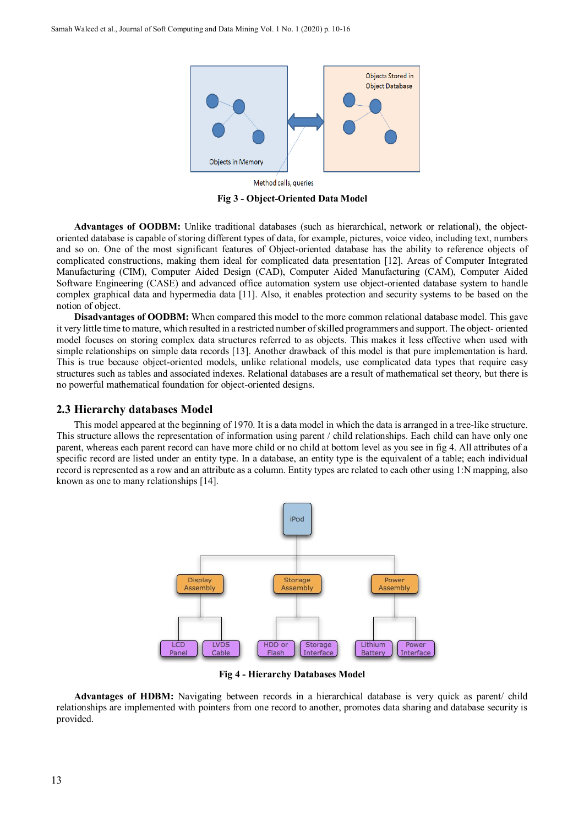

Method calls, queries

**Fig 3 - Object-Oriented Data Model**

**Advantages of OODBM:** Unlike traditional databases (such as hierarchical, network or relational), the objectoriented database is capable of storing different types of data, for example, pictures, voice video, including text, numbers and so on. One of the most significant features of Object-oriented database has the ability to reference objects of complicated constructions, making them ideal for complicated data presentation [12]. Areas of Computer Integrated Manufacturing (CIM), Computer Aided Design (CAD), Computer Aided Manufacturing (CAM), Computer Aided Software Engineering (CASE) and advanced office automation system use object-oriented database system to handle complex graphical data and hypermedia data [11]. Also, it enables protection and security systems to be based on the notion of object.

**Disadvantages of OODBM:** When compared this model to the more common relational database model. This gave it very little time to mature, which resulted in a restricted number of skilled programmers and support. The object- oriented model focuses on storing complex data structures referred to as objects. This makes it less effective when used with simple relationships on simple data records [13]. Another drawback of this model is that pure implementation is hard. This is true because object-oriented models, unlike relational models, use complicated data types that require easy structures such as tables and associated indexes. Relational databases are a result of mathematical set theory, but there is no powerful mathematical foundation for object-oriented designs.

#### **2.3 Hierarchy databases Model**

This model appeared at the beginning of 1970. It is a data model in which the data is arranged in a tree-like structure. This structure allows the representation of information using parent / child relationships. Each child can have only one parent, whereas each parent record can have more child or no child at bottom level as you see in fig 4. All attributes of a specific record are listed under an entity type. In a database, an entity type is the equivalent of a table; each individual record is represented as a row and an attribute as a column. Entity types are related to each other using 1:N mapping, also known as one to many relationships [14].



**Fig 4 - Hierarchy Databases Model**

**Advantages of HDBM:** Navigating between records in a hierarchical database is very quick as parent/ child relationships are implemented with pointers from one record to another, promotes data sharing and database security is provided.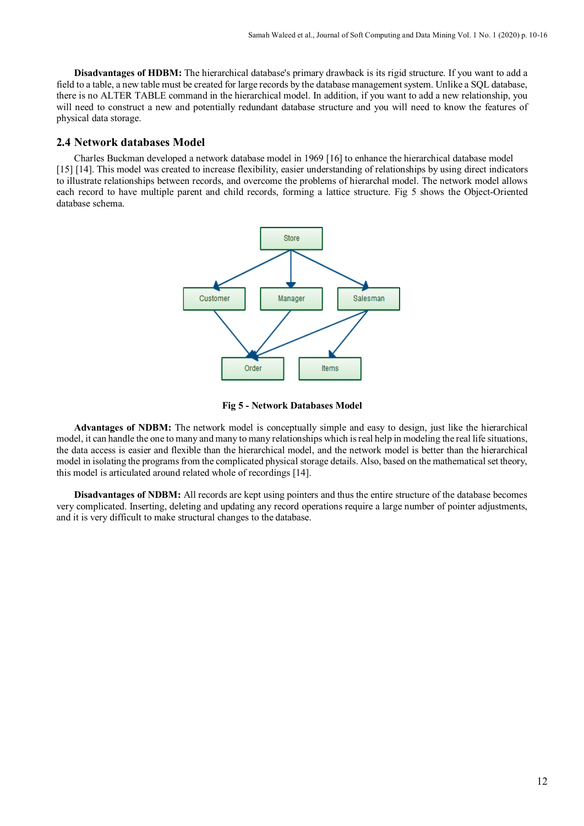**Disadvantages of HDBM:** The hierarchical database's primary drawback is its rigid structure. If you want to add a field to a table, a new table must be created for large records by the database management system. Unlike a SQL database, there is no ALTER TABLE command in the hierarchical model. In addition, if you want to add a new relationship, you will need to construct a new and potentially redundant database structure and you will need to know the features of physical data storage.

#### **2.4 Network databases Model**

Charles Buckman developed a network database model in 1969 [16] to enhance the hierarchical database model [15] [14]. This model was created to increase flexibility, easier understanding of relationships by using direct indicators to illustrate relationships between records, and overcome the problems of hierarchal model. The network model allows each record to have multiple parent and child records, forming a lattice structure. Fig 5 shows the Object-Oriented database schema.





**Advantages of NDBM:** The network model is conceptually simple and easy to design, just like the hierarchical model, it can handle the one to many and many to many relationships which is real help in modeling the real life situations, the data access is easier and flexible than the hierarchical model, and the network model is better than the hierarchical model in isolating the programs from the complicated physical storage details. Also, based on the mathematical set theory, this model is articulated around related whole of recordings [14].

**Disadvantages of NDBM:** All records are kept using pointers and thus the entire structure of the database becomes very complicated. Inserting, deleting and updating any record operations require a large number of pointer adjustments, and it is very difficult to make structural changes to the database.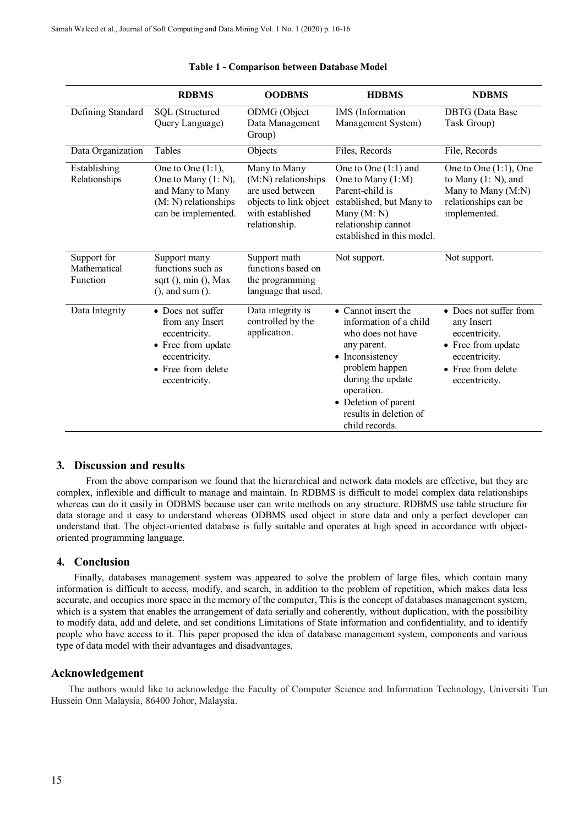|                                         | <b>RDBMS</b>                                                                                                                        | <b>OODBMS</b>                                                                                                          | <b>HDBMS</b>                                                                                                                                                                                                                  | <b>NDBMS</b>                                                                                                                        |
|-----------------------------------------|-------------------------------------------------------------------------------------------------------------------------------------|------------------------------------------------------------------------------------------------------------------------|-------------------------------------------------------------------------------------------------------------------------------------------------------------------------------------------------------------------------------|-------------------------------------------------------------------------------------------------------------------------------------|
| Defining Standard                       | SQL (Structured<br>Query Language)                                                                                                  | ODMG (Object<br>Data Management<br>Group)                                                                              | IMS (Information<br>Management System)                                                                                                                                                                                        | <b>DBTG</b> (Data Base<br>Task Group)                                                                                               |
| Data Organization                       | Tables                                                                                                                              | Objects                                                                                                                | Files, Records                                                                                                                                                                                                                | File, Records                                                                                                                       |
| Establishing<br>Relationships           | One to One $(1:1)$ ,<br>One to Many (1: N),<br>and Many to Many<br>(M: N) relationships<br>can be implemented.                      | Many to Many<br>(M:N) relationships<br>are used between<br>objects to link object<br>with established<br>relationship. | One to One (1:1) and<br>One to Many (1:M)<br>Parent-child is<br>established, but Many to<br>Many $(M: N)$<br>relationship cannot<br>established in this model.                                                                | One to One $(1:1)$ , One<br>to Many $(1: N)$ , and<br>Many to Many (M:N)<br>relationships can be<br>implemented.                    |
| Support for<br>Mathematical<br>Function | Support many<br>functions such as<br>sqrt $($ ), min $($ ), Max<br>$($ , and sum $($ ).                                             | Support math<br>functions based on<br>the programming<br>language that used.                                           | Not support.                                                                                                                                                                                                                  | Not support.                                                                                                                        |
| Data Integrity                          | • Does not suffer<br>from any Insert<br>eccentricity.<br>• Free from update<br>eccentricity.<br>• Free from delete<br>eccentricity. | Data integrity is<br>controlled by the<br>application.                                                                 | • Cannot insert the<br>information of a child<br>who does not have<br>any parent.<br>• Inconsistency<br>problem happen<br>during the update<br>operation.<br>• Deletion of parent<br>results in deletion of<br>child records. | • Does not suffer from<br>any Insert<br>eccentricity.<br>• Free from update<br>eccentricity.<br>• Free from delete<br>eccentricity. |

#### **Table 1 - Comparison between Database Model**

#### **3. Discussion and results**

From the above comparison we found that the hierarchical and network data models are effective, but they are complex, inflexible and difficult to manage and maintain. In RDBMS is difficult to model complex data relationships whereas can do it easily in ODBMS because user can write methods on any structure. RDBMS use table structure for data storage and it easy to understand whereas ODBMS used object in store data and only a perfect developer can understand that. The object-oriented database is fully suitable and operates at high speed in accordance with objectoriented programming language.

#### **4. Conclusion**

Finally, databases management system was appeared to solve the problem of large files, which contain many information is difficult to access, modify, and search, in addition to the problem of repetition, which makes data less accurate, and occupies more space in the memory of the computer, This is the concept of databases management system, which is a system that enables the arrangement of data serially and coherently, without duplication, with the possibility to modify data, add and delete, and set conditions Limitations of State information and confidentiality, and to identify people who have access to it. This paper proposed the idea of database management system, components and various type of data model with their advantages and disadvantages.

#### **Acknowledgement**

The authors would like to acknowledge the Faculty of Computer Science and Information Technology, Universiti Tun Hussein Onn Malaysia, 86400 Johor, Malaysia.